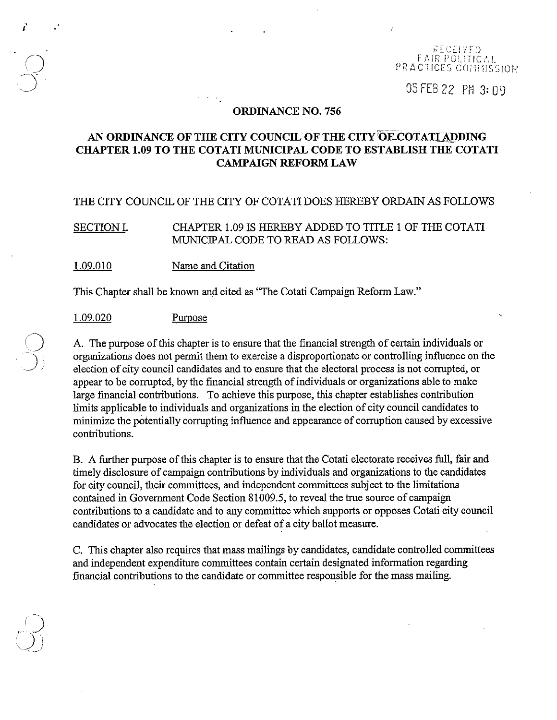#### RECEIVED **EAIR POLITICAL** PRACTICES COHMISSION

05 FEB 22 PM 3:09

### ORDINANCE NO. 756

# AN ORDINANCE OF THE CITY COUNCIL OF THE CITY OF COTATI ADDING CHAPTER 1.09 TO THE COTATI MUNICIPAL CODE TO ESTABLISH THE COTATI CAMPAIGN REFORM LAW

### THE CITY COUNCIL OF THE CITY OF COTATI DOES HEREBY ORDAIN AS FOLLOWS

SECTION I. CHAPTER 1.09 IS HEREBY ADDED TO TITLE 1 OF THE COTATI MUNICIPAL CODE TO READ AS FOLLOWS:

1.09.010 Name and Citation

This Chapter shall be known and cited as "The Cotati Campaign Reform Law."

1.09.020 Purpose

 $\overline{Q}^{\cdot}$ 

 $\bigcirc$ 

'J}

 $\sum_{\lambda\in\mathcal{N}}$ 

j<br>J

, .

A. The purpose of this chapter is to ensure that the financial strength of certain individuals or organizations does not permit them to exercise a disproportionate or controlling influence on the election of city council candidates and to ensure that the electoral process is not corrupted, or appear to be corrupted, by the financial strength of individuals or organizations able to make large financial contributions. To achieve this purpose, this chapter establishes contribution limits applicable to individuals and organizations in the election of city council candidates to minimize the potentially corrupting influence and appearance of corruption caused by excessive contributions.

B. A further purpose of this chapter is to ensure that the Cotati electorate receives full, fair and timely disclosure of campaign contributions by individuals and organizations to the candidates for city council, their committees, and independent committees subject to the limitations contained in Goverrunent Code Section 81009.5, to reveal the true source of campaign contributions to a candidate and to any committee which supports or opposes Cotati city council candidates or advocates the election or defeat of a city ballot measure.

C. This chapter also requires that mass mailings by candidates, candidate controlled committees and independent expenditure committees contain certain designated information regarding financial contributions to the candidate or committee responsible for the mass mailing.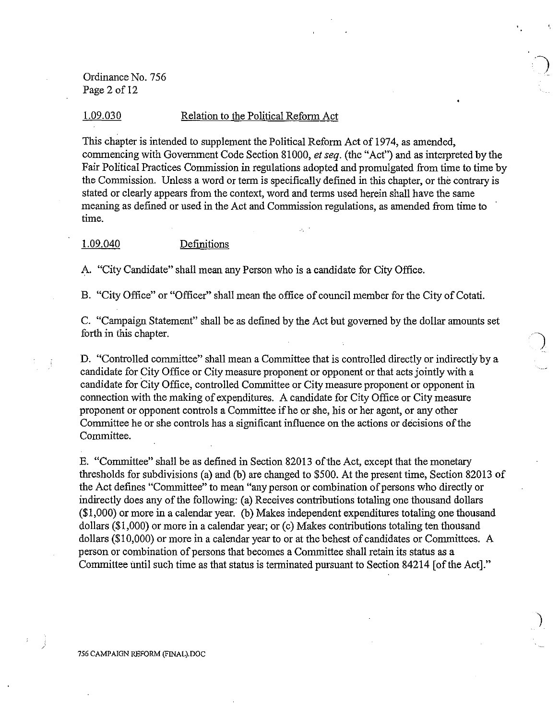Ordinance No. 756 Page 2 of 12

#### 1.09.030 Relation to the Political Refonn Act

This chapter is intended to supplement the Political Reform Act of 1974, as amended, commencing with Government Code Section 81000, *et seq.* (the "Act") and as interpreted by the Fair Political Practices Commission in regulations adopted and promulgated from time to time by the Commission. Unless a word or tenn is specifically defined in this chapter, or the contrary is stated or clearly appears from the context, word and terms used herein shall have the same meaning as defined or used in the Act and Commission regulations, as amended from time to time.

#### 1.09.040 Definitions

A. "City Candidate" shall mean any Person who is a candidate for City Office.

B. "City Office" or "Officer" shall mean the office of council member for the City of Cotati.

C. "Campaign Statement" shall be as defmed by the Act but governed by the dollar amounts set forth in this chapter.

D. "Controlled committee" shall mean a Committee that is controlled directly or indirectly by a candidate for City Office or City measure proponent or opponent or that acts jointly with a candidate for City Office, controlled Committee or City measure proponent or opponent in connection with the making of expenditures. A candidate for City Office or City measure proponent or opponent controls a Committee ifhe or she, his or her agent, or any other Committee he or she controls has a significant influence on the actions or decisions of the Committee.

E. "Committee" shall be as defmed in Section 82013 of the Act, except that the monetary thresholds for subdivisions (a) and (b) are changed to \$500. At the present time, Section 82013 of the Act defines "Committee" to mean "any person or combination of persons who directly or indirectly does any of the following: (a) Receives contributions totaling one thousand dollars (\$1,000) or more in a calendar year. (b) Makes independent expenditures totaling one thousand dollars (\$1,000) or more in a calendar year; or (c) Makes contributions totaling ten thousand dollars (\$10,000) or more in a calendar year to or at the behest of candidates or Committees. A person or combination of persons that becomes a *Committee* shall retain its status as a Committee until such time as that status is terminated pursuant to Section 84214 [of the Act]."

756 CAMPAIGN REFORM (FINAL).DOC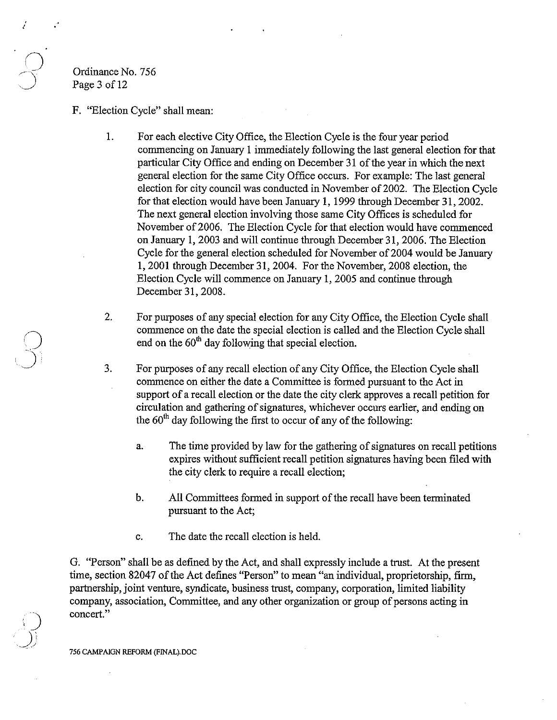Ordinance No. 756 Page 3 of 12

- F. "Election Cycle" shall mean:
	- 1. For each elective City Office, the Election Cycle is the four year period commencing on January 1 immediately following the last general election for that particular City Office and ending on December 31 of the year in which the next general election for the same City Office occurs. For example: The last general election for city council was conducted in November of 2002. The Election Cycle for that election would have been January 1, 1999 through December 31, 2002. The next general election involving those same City Offices is scheduled for November of 2006. The Election Cycle for that election would have commenced on January 1, 2003 and will continue through December 31, 2006. The Election Cycle for the general election scheduled for November of 2004 would be January 1,2001 through December 31, 2004. For the November, 2008 election, the Election Cycle will commence on January 1, 2005 and continue through December 31, 2008.
	- 2. For purposes of any special election for any City Office, the Election Cycle shall commence on the date the special election is called and the Election Cycle shall end on the  $60<sup>th</sup>$  day following that special election.
	- 3. For purposes of any recall election of any City Office, the Election Cycle shall commence on either the date a Committee is formed pursuant to the Act in support of a recall election or the date the city clerk approves a recall petition for circulation and gathering of signatures, whichever occurs earlier, and ending on the  $60<sup>th</sup>$  day following the first to occur of any of the following:
		- a. The time provided by law for the gathering of signatures on recall petitions expires without sufficient recall petition signatures having been filed with the city clerk to require a recall election;
		- b. All Committees formed in support of the recall have been terminated pursuant to the Act;
		- c. The date the recall election is held.

G. "Person" shall be as defined by the Act, and shall expressly include a trust. At the present time, section 82047 of the Act defines "Person" to mean "an individual, proprietorship, firm, partnership, joint venture, syndicate, business trust, company, corporation, limited liability company, association, Committee, and any other organization or group of persons acting in concert."

756 CAMPAIGN REFORM (FINAL).DOC

,)

 $\bigcup_{i=1}^{n}$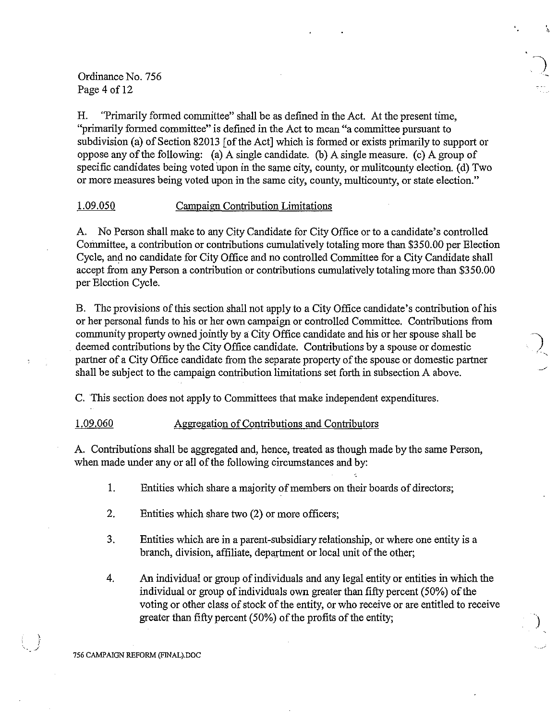Ordinance No. 756 Page 4 of 12

H. "Primarily formed committee" shall be as defined in the Act. At the present time, "primarily formed committee" is defined in the Act to mean "a committee pursuant to subdivision (a) of Section 82013 [of the Act] which is formed or exists primarily to support or oppose any of the following: (a) A single candidate. (b) A single measure. (c) A group of specific candidates being voted upon in the same city, county, or mulitcounty election. (d) Two or more measures being voted upon in the same city, county, multicounty, or state election."

## 1.09.050 Campaign Contribution Limitations

A. No Person shall make to any City Candidate for City Office or to a candidate's controlled Committee, a contribution or contributions cumulatively totaling more than \$350.00 per Election Cycle, and no candidate for City Office and no controlled Committee for a City Candidate shall accept from any Person a contribution or contributions cumulatively totaling more than \$350.00 per Election Cycle.

B. The provisions of this section shall not apply to a City Office candidate's contribution of his or her personal funds to his or her own campaign or controlled Committee. Contributions from community property owned jointly by a City Office candidate and his or her spouse shall be deemed contributions by the City Office candidate. Contributions by a spouse or domestic partner of a City Office candidate from the separate property of the spouse or domestic partner shall be subject to the campaign contribution limitations set forth in subsection A above.

C. This section does not apply to Committees that make independent expenditures.

## 1.09.060 Aggregation of Contributions and Contributors

A. Contributions shall be aggregated and, hence, treated as though made by the same Person, when made under any or all of the following circumstances and by:

- 1. Entities which share a majority of members on their boards of directors;
- 2. Entities which share two (2) or more officers;
- 3. Entities which are in a parent-subsidiary relationship, or where one entity is a branch, division, affiliate, department or local unit of the other;
- 4. An individual or group of individuals and any legal entity or entities in which the individual or group of individuals own greater than fifty percent  $(50\%)$  of the voting or other class of stock of the entity, or who receive or are entitled to receive greater than fifty percent  $(50\%)$  of the profits of the entity;

)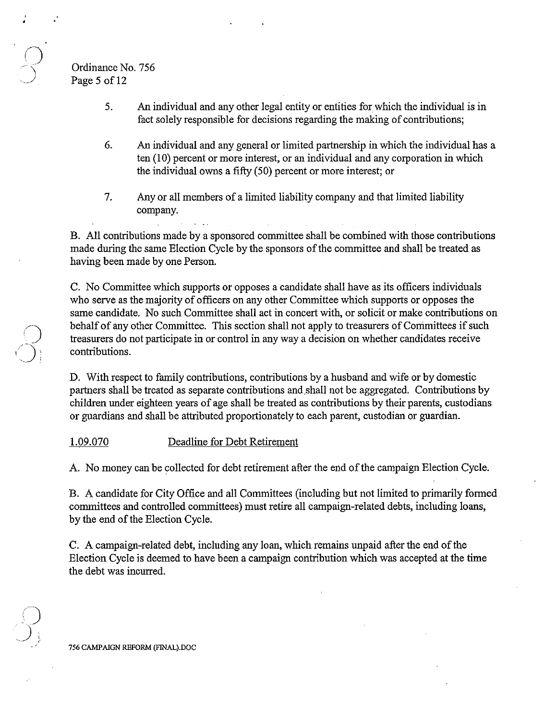Ordinance No. 756 Page 5 of 12

- 5. An individual and any other legal entity or entities for which the individual is in fact solely responsible for decisions regarding the making of contributions;
- 6. An individual and any general or limited partnership in which the individual has a ten (10) percent or more interest, or an individual and any corporation in which the individual owns a fifty (50) percent or more interest; or
- 7. Any or all members of a limited liability company and that limited liability company.

B. All contributions made by a sponsored committee shall be combined with those contributions made during the same Election Cycle by the sponsors of the committee and shall be treated as having been made by one Person.

C. No Committee which supports or opposes a candidate shall have as its officers individuals who serve as the majority of officers on any other Committee which supports or opposes the same candidate. No such Committee shall act in concert with, or solicit or make contributions on behalf of any other Committee. This section shall not apply to treasurers of Committees if such treasurers do not participate in or control in any way a decision on whether candidates receive contributions.

D. With respect to family contributions, contributions by a husband and wife or by domestic partners shall be treated as separate contributions and shall not be aggregated. Contributions by children under eighteen years of age shall be treated as contributions by their parents, custodians or guardians and shall be attributed proportionately to each parent, custodian or guardian.

### 1.09.070 Deadline for Debt Retirement

A. No money can be collected for debt retirement after the end of the campaign Election Cycle.

B. A candidate for City Office and all Committees (including but not limited to primarily formed committees and controlled committees) must retire all campaign-related debts, including loans, by the end of the Election Cycle.

C. A campaign-related debt, including any loan, which remains unpaid after the end of the Election Cycle is deemed to have been a campaign contribution which was accepted at the time the debt was incurred.

756 CAMPAIGN REFORM (FINAL).DOC

i)

 $\sum_{i=1}^{N}$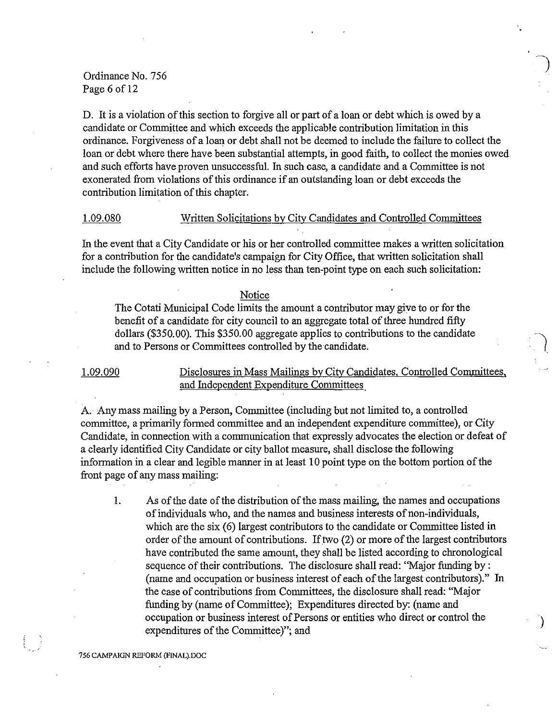# Ordinance No. 756 Page 6 of 12

D. It is a violation of this section to forgive all or part of a loan or debt which is owed by a candidate or Committee and which exceeds the applicable contribution limitation in this ordinance. Forgiveness of a loan or debt shall not be deemed to include the failure to collect the loan or debt where there have been substantial attempts, in good faith, to collect the monies owed and such efforts have proven unsuccessful. In such case, a candidate and a Committee is not exonerated from violations of this ordinance if an outstanding loan or debt exceeds the contribution limitation of this chapter.

## 1.09.080 Written Solicitations by City Candidates and Controlled Committees

In the event that a City Candidate or his or her controlled committee makes a written solicitation for a contribution for the candidate's campaign for City Office, that written solicitation shall include the following written notice in no less than ten-point type on each such solicitation:

#### Notice

The Cotati Municipal Code limits the amount a contributor may give to or for the benefit of a candidate for city council to an aggregate total of three hundred fifty dollars (\$350.00). This \$350.00 aggregate applies to contributions to the candidate and to Persons or Committees controlled by the candidate.

# 1.09.090 Disclosures in Mass Mailings by City Candidates, Controlled Committees, and Independent Expenditure Committees

A. Any mass mailing by a Person, Committee (including but not limited to, a controlled committee, a primarily formed committee and an independent expenditure committee), or City Candidate, in connection with a communication that expressly advocates the election or defeat of a clearly identified City Candidate or city ballot measure, shall disclose the following information in a clear and legible manner in at least 10 point type on the bottom portion of the front page of any mass mailing:

I. As of the date of the distribution of the mass mailing, the names and occupations of individuals who, and the names and business interests of non-individuals, which are the six (6) largest contributors to the candidate or Committee listed in order of the amount of contributions. If two (2) or more of the largest contributors have contributed the same amount, they shall be listed according to chronological sequence of their contributions, The disclosure shall read: "Major funding by: (name and occupation or business interest of each of the largest contributors)." In the case of contributions from Committees, the disclosure shall read: "Major funding by (name of Committee); Expenditures directed by: (name and occupation or business interest of Persons or entities who direct or control the expenditures of the Committee)"; and

)

#### 756 CAMPAIGN REFORM (FINAL).DOC

-.-'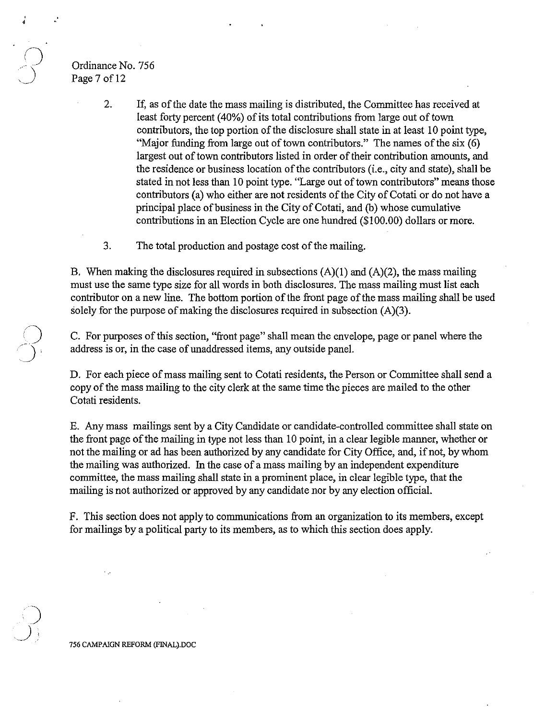# Ordinance No. 756 Page 7 of 12

, ,

- 2. If, as of the date the mass mailing is distributed, the Committee has received at least forty percent (40%) of its total contributions from large out of town contributors, the top portion of the disclosure shall state in at least 10 point type, "Major funding from large out of town contributors." The names of the six (6) largest out of town contributors listed in order of their contribution amounts, and the residence or business location of the contributors (i.e., city and state), shall be stated in not less than 10 point type. "Large out of town contributors" means those contributors (a) who either are not residents of the City of Cotati or do not have a principal place of business in the City of Cotati, and (b) whose cumulative contributions in an Election Cycle are one hundred (\$100.00) dollars or more.
- 3. The total production and postage cost of the mailing.

B. When making the disclosures required in subsections  $(A)(1)$  and  $(A)(2)$ , the mass mailing must use the same type size for all words in both disclosures. The mass mailing must list each contributor on a new line. The bottom portion of the front page of the mass mailing shall be used solely for the purpose of making the disclosures required in subsection (A)(3).

C. For purposes of this section, "front page" shall mean the envelope, page or panel where the address is or, in the case of unaddressed items, any outside panel.

D. For each piece of mass mailing sent to Cotati residents, the Person or Committee shall send a copy of the mass mailing to the city clerk at the same time the pieces are mailed to the other Cotati residents.

E. Any mass mailings sent by a City Candidate or candidate-controlled committee shall state on the front page of the mailing in type not less than 10 point, in a clear legible manner, whether or not the mailing or ad has been authorized by any candidate for City Office, and, if not, by whom the mailing was authorized. In the case of a mass mailing by an independent expenditure committee, the mass mailing shall state in a prominent place, in clear legible type, that the mailing is not authorized or approved by any candidate nor by any election official.

F. This section does not apply to communications from an organization to its members, except for mailings by a political party to its members, as to which this section does apply.

756 CAMPAIGN REFORM (FINAL).DOC

)

 $\mathcal{I}$  )  $^-$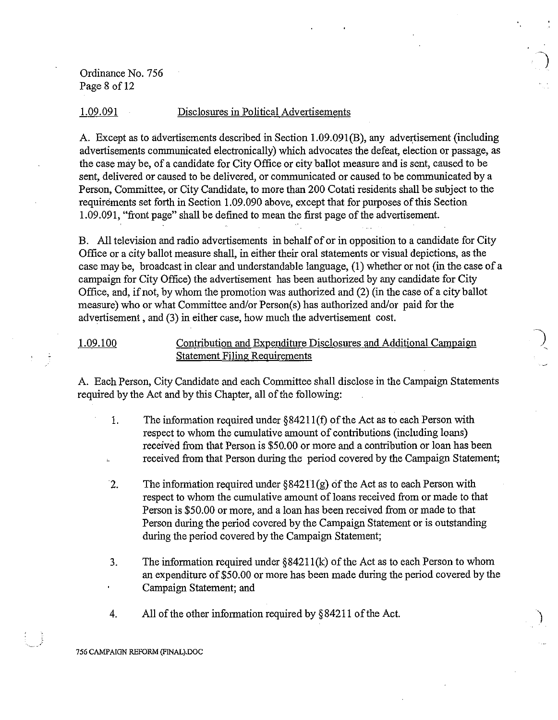Ordinance No. 756 Page 8 of 12

#### 1.09.091 Disclosures in Political Advertisements

A. Except as to advertisements described in Section 1.09.091(B), any advertisement (including advertisements communicated electronically) which advocates the defeat, election or passage, as the case may be, of a candidate for City Office or city ballot measure and is sent, caused to be sent, delivered or caused to be delivered, or communicated or caused to be communicated by a Person, Committee, or City Candidate, to more than 200 Cotati residerits shall be subject to the requirements set forth in Section 1.09.090 above, except that for purposes of this Section 1.09.091, "front page" shall be defined to mean the first page of the advertisement.

~)

B. All television and radio advertisements in behalf of or in opposition to a candidate for City Office or a city ballot measure shall, in either their oral statements or visual depictions, as the case may be, broadcast in clear and understandable language, (1) whether or not (in the case of a campaign for City Office) the advertisement has been authorized by any candidate for City Office, and, if not, by whom the promotion was authorized and (2) (in the case of a city ballot measure) who or what Committee and/or Person(s) has authorized and/or paid for the advertisement, and (3) in either case, how much the advertisement cost.

## 1.09.100 Contribution and Expenditure Disclosures and Additional Campaign Statement Filing Requirements

A. Each Person, City Candidate and each Committee shall disclose in the Campaign Statements required by the Act and by this Chapter, all of the following:

- 1. The information required under §84211(f) of the Act as to each Person with respect to whom the cumulative amount of contributions (including loans) received from that Person is \$50.00 or more and a contribution or loan has been received from that Person during the period covered by the Campaign Statement;
- 2. The information required under §84211(g) of the Act as to each Person with respect to whom the cumulative amount of loans received from or made to that Person is \$50.00 or more, and a loan has been received from or made to that Person during the period covered by the Campaign Statement or is outstanding during the period covered by the Campaign Statement;
- 3. The information required under §84211 (k) of the Act as to each Person to whom an expenditure of \$50.00 or more has been made during the period covered by the Campaign Statement; and
- 4. All of the other information required by §84211 of the Act.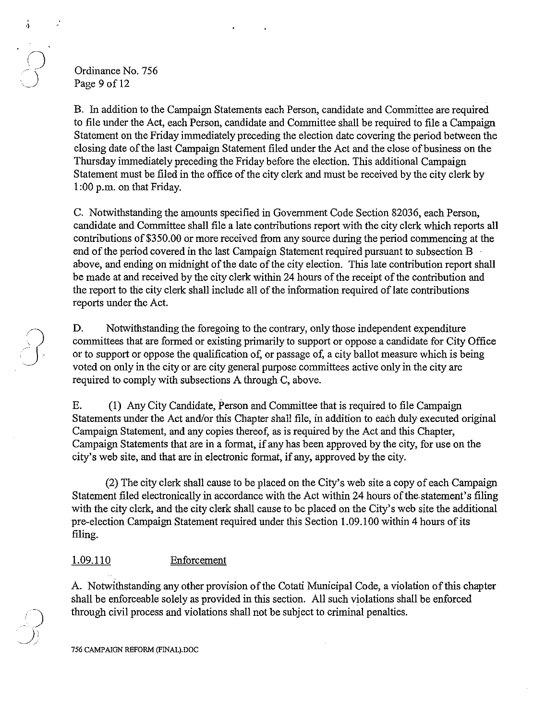## Ordinance No. 756 Page 9 of 12

 $\frac{1}{4}$ 

 $\sum_{i=1}^{n}$ 

B. In addition to the Campaign Statements each Person, candidate and Committee are required to file under the Act, each Person, candidate and Committee shall be required to file a Campaign Statement on the Friday immediately preceding the election date covering the period between the closing date of the last Campaign Statement filed under the Act and the close of business on the Thursday immediately preceding the Friday before the election. This additional Campaign Statement must be filed in the office of the city clerk and must be received by the city clerk by 1 :00 p.m. on that Friday.

C. Notwithstanding the amounts specified in Govemment Code Section 82036, each Person, candidate and Committee shall file a late contributions report with the city clerk which reports all contributions of \$350.00 or more received from any source during the period commencing at the end of the period covered in the last Campaign Statement required pursuant to subsection B above, and ending on midnight of the date of the city election. This late contribution report shall be made at and received by the city clerk within 24 hours of the receipt of the contribution and the report to the city clerk shall include all of the information required of late contributions reports under the Act.

D. Notwithstanding the foregoing to the contrary, only those independent expenditure committees that are formed or existing primarily to support or oppose a candidate for City Office or to support or oppose the qualification of, or passage of, a city ballot measure which is being voted on only in the city or are city general purpose committees active only in the city are required to comply with subsections A through C, above.

E. (I) Any City Candidate, Person and Committee that is required to file Campaign Statements under the Act and/or this Chapter shall file, in addition to each duly executed original Campaign Statement, and any copies thereof, as is required by the Act and this Chapter, Campaign Statements that are in a format, if any has been approved by the city, for use on the city's web site, and that are in electronic format, if any, approved by the city.

(2) The city clerk shall cause to be placed on the City's web site a copy of each Campaign Statement filed electronically in accordance with the Act within 24 hours of the statement's filing with the city clerk, and the city clerk shall cause to be placed on the City's web site the additional pre-election Campaign Statement required under this Section 1.09.100 within 4 hours of its filing.

# 1.09.110 Enforcement

A. Notwithstanding any other provision of the Cotati Municipal Code, a violation of this chapter shall be enforceable solely as provided in this section. All such violations shall be enforced through civil process and violations shall not be subject to criminal penalties.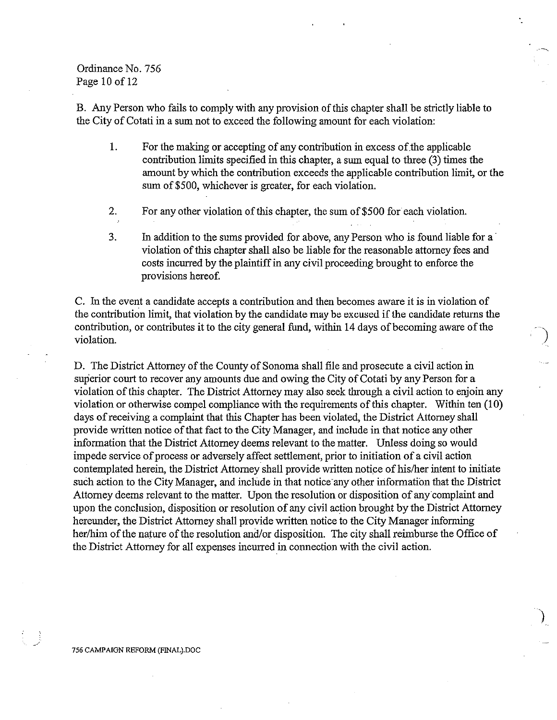Ordinance No. 756 Page 10 of 12

B. Any Person who fails to comply with any provision of this chapter shall be strictly liable to the City of Cotati in a sum not to exceed the following amount for each violation:

- 1. For the making or accepting of any contribution in excess of.the applicable contribution limits specified in this chapter, a sum equal to three (3) times the amount by which the contribution exceeds the applicable contribution limit, or the sum of \$500, whichever is greater, for each violation.
- 2. For any other violation of this chapter, the sum of\$500 for each violation.
- 3. In addition to the sums provided for above, any Person who is found liable for a' violation of this chapter shall also be liable for the reasonable attorney fees and costs incurred by the plaintiff in any civil proceeding brought to enforce the provisions hereof.

C. In the event a candidate accepts a contribution and then becomes aware it is in violation of the contribution limit, that violation by the candidate may be excused if the candidate returns the contribution, or contributes it to the city general fund, within 14 days of becoming aware of the violation.

D. The District Attorney of the County of Sonoma shall file md prosecute a civil action in superior court to recover my amounts due and owing the City of Cotati by any Person for a violation of this chapter. The District Attorney may also seek through a civil action to enjoin any violation or otherwise compel compliance with the requirements of this chapter. Within ten (10) days of receiving a complaint that this Chapter has been violated, the District Attorney shall provide written notice of that fact to the City Manager, and include in that notice my other information that the District Attorney deems relevant to the matter. Unless doing so would impede service of process or adversely affect settlement, prior to initiation of a civil action contemplated herein, the District Attorney shall provide written notice of his/her intent to initiate such action to the City Manager, and include in that notice any other information that the District Attorney deems relevant to the matter. Upon the resolution or disposition of any complaint and upon the conclusion, disposition or resolution of any civil action brought by the District Attorney hereunder, the District Attorney shall provide written notice to the City Manager informing her/him of the nature of the resolution and/or disposition. The city shall reimburse the Office of the District Attorney for all expenses incurred in connection with the civil action.

)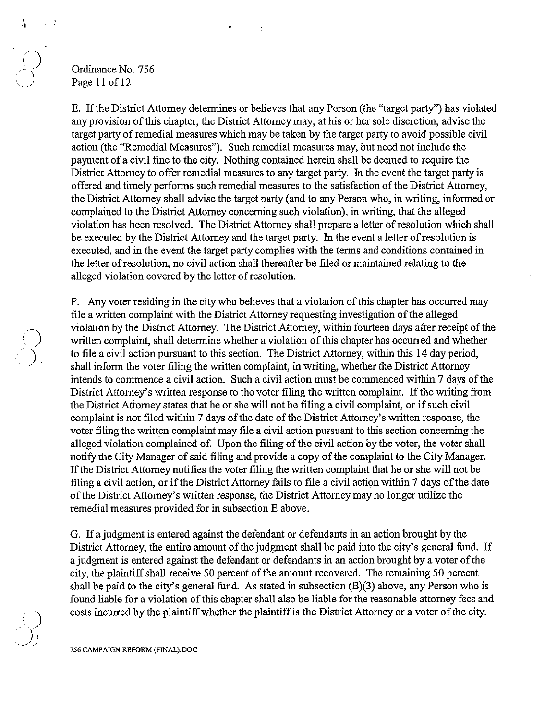## Ordinance No. 756 Page 11 of 12

E. Ifthe District Attorney detennines or believes that any Person (the "target party") has violated any provision of this chapter, the District Attorney may, at his or her sole discretion, advise the target party of remedial measures which may be taken by the target party to avoid possible civil action (the "Remedial Measures"). Such remedial measures may, but need not include the payment of a civil fine to the city. Nothing contained herein shall be deemed to require the District Attorney to offer remedial measures to any target party. In the event the target party is offered and timely perfonns such remedial measures to the satisfaction of the District Attorney, the District Attorney shall advise the target party (and to any Person who, in writing, infonned or complained to the District Attorney concerning such violation), in writing, that the alleged violation has been resolved. The District Attorney shall prepare a letter of resolution which shall be executed by the District Attorney and the target party. In the event a letter of resolution is executed, and in the event the target party complies with the tenns and conditions contained in the letter of resolution, no civil action shall thereafter be filed or maintained relating to the alleged violation covered by the letter of resolution.

F. Any voter residing in the city who believes that a violation of this chapter has occurred may file a written complaint with the District Attorney requesting investigation of the alleged violation by the District Attorney. The District Attorney, within fourteen days after receipt ofthe written complaint, shall determine whether a violation of this chapter has occurred and whether to file a civil action pursuant to this section. The District Attorney, within this 14 day period, shall inform the voter filing the written complaint, in writing, whether the District Attorney intends to commence a civil action. Such a civil action must be commenced within 7 days of the District Attorney's written response to the voter filing the written complaint. If the writing from the District Attorney states that he or she will not be filing a civil complaint, or if such civil complaint is not filed within 7 days of the date of the District Attorney's written response, the voter filing the written complaint may file a civil action pursuant to this section concerning the alleged violation complained of. Upon the filing of the civil action by the voter, the voter shall notify the City Manager of said filing and provide a copy of the complaint to the City Manager. If the District Attorney notifies the voter filing the written complaint that he or she will not be filing a civil action, or if the District Attorney fails to file a civil action within 7 days ofthe date of the District Attorney's written response, the District Attorney may no longer utilize the remedial measures provided for in subsection E above.

G. If a judgment is entered against the defendant or defendants in an action brought by the District Attorney, the entire amount of the judgment shall be paid into the city's general fund. If a judgment is entered against the defendant or defendants in an action brought by a voter of the city, the plaintiff shall receive 50 percent of the amount recovered. The remaining 50 percent shall be paid to the city's general fund. As stated in subsection (B)(3) above, any Person who is found liable for a violation of this chapter shall also be liable for the reasonable attorney fees and costs incurred by the plaintiff whether the plaintiff is the District Attorney or a voter of the city.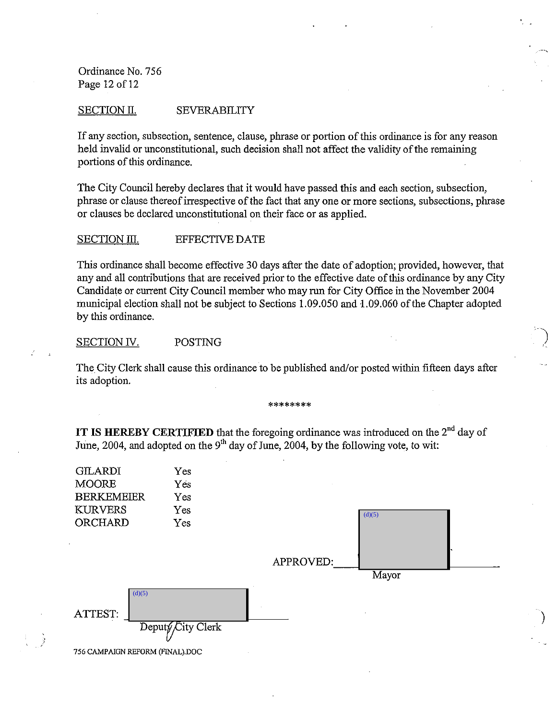Ordinance No. 756 Page 12 of 12

#### SECTION II. SEVERABILITY

If any section, subsection, sentence, clause, phrase or portion of this ordinance is for any reason held invalid or unconstitutional, such decision shall not affect the validity of the remaining portions of this ordinance.

The City Council hereby declares that it would have passed this and each section, subsection, phrase or clause thereof irrespective of the fact that any one or more sections, subsections, phrase or clauses be declared unconstitutional on their face or as applied.

#### SECTION III. EFFECTIVE DATE

This ordinance shall become effective 30 days after the date of adoption; provided, however, that any and all contributions that are received prior to the effective date of this ordinance by any City Candidate or current City Council member who may run for City Office in the November 2004 municipal election shall not be subject to Sections 1.09.050 and 1.09.060 of the Chapter adopted by this ordinance.

## SECTION IV. POSTING

The City Clerk shall cause this ordinance to be published and/or posted within fifteen days after its adoption.

#### **\*\*\*\*\*\*\*\***

**IT IS HEREBY CERTIFIED** that the foregoing ordinance was introduced on the  $2^{nd}$  day of June, 2004, and adopted on the 9<sup>th</sup> day of June, 2004, by the following vote, to wit:

|                           | <b>GILARDI</b><br><b>MOORE</b><br><b>BERKEMEIER</b><br><b>KURVERS</b><br>ORCHARD | Yes<br>Yes<br>Yes<br>Yes<br>Yes |           | (d)(5) |  |
|---------------------------|----------------------------------------------------------------------------------|---------------------------------|-----------|--------|--|
|                           |                                                                                  |                                 | APPROVED: | Mayor  |  |
| $\bullet$<br>A<br>ŧ.<br>R | (d)(5)<br>ATTEST.<br>756 CAMPAIGN REFORM (FINALLDOC                              | Deputy City Clerk<br>$\sim$     |           |        |  |

)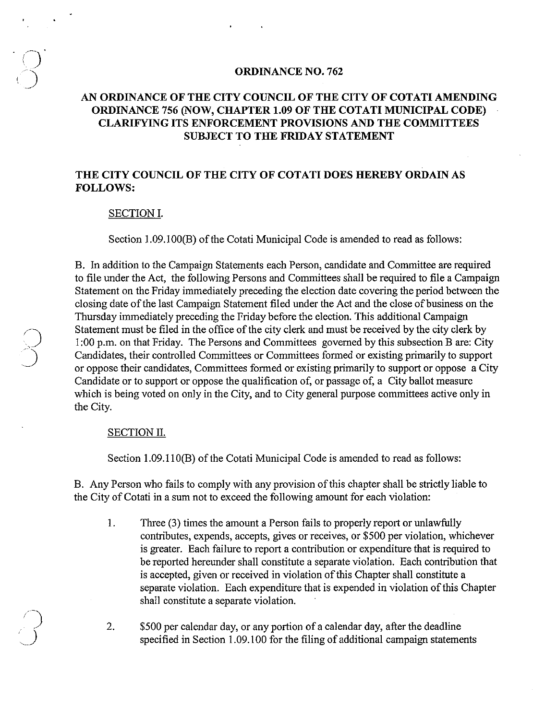#### **ORDINANCE NO. 762**

# **AN ORDINANCE OF THE CITY COUNCIL OF THE CITY OF COTATI AMENDING ORDINANCE 756 (NOW, CHAPTER 1.09 OF THE COTATI MUNICIPAL CODE) CLARIFYING ITS ENFORCEMENT PROVISIONS AND THE COMMITTEES SUBJECT TO THE FRIDAY STATEMENT**

## **THE CITY COUNCIL OF THE CITY OF COTATI DOES HEREBY ORDAIN AS FOLLOWS:**

#### **SECTION I.**

Section 1.09.100(B) of the Cotati Municipal Code is amended to read as follows:

B. In addition to the Campaign Statements each Person, candidate and Committee are required to file under the Act, the following Persons and Committees shall be required to file a Campaign Statement on the Friday immediately preceding the election date covering the period between the closing date of the last Campaign Statement filed under the Act and the close of business on the Thursday immediately preceding the Priday before the election. This additional Campaign Statement must be filed in the office of the city clerk and must be received by the city clerk by 1 :00 p.m. on that Friday. The Persons and Committees governed by this subsection B are: City Candidates, their controlled Committees or Committees fonned or existing primarily to support or oppose their candidates, Committees fonned or existing primarily to support or oppose a City Candidate or to support or oppose the qualification of, or passage of, a City ballot measure which is being voted on only in the City, and to City general purpose committees active only in the City.

#### SECTION II.

 $\bigcap$ 

J

Section 1.09.110(B) of the Cotati Municipal Code is amended to read as follows:

B. Any Person who fails to comply with any provision of this chapter shall be strictly liable to the City of Cotati in a sum not to exceed the following amount for each violation:

1. Three (3) times the amount a Person fails to properly report or unlawfully contributes, expends, accepts, gives or receives, or \$500 per violation, whichever is greater. Each failure to report a contribution or expenditure that is required to be reported hereunder shall constitute a separate violation. Each contribution that is accepted, given or received in violation of this Chapter shall constitute a separate violation. Each expenditure that is expended in violation of this Chapter shall constitute a separate violation.

2. \$500 per calendar day, or any portion of a calendar day, after the deadline specified in Section 1.09.100 for the filing of additional campaign statements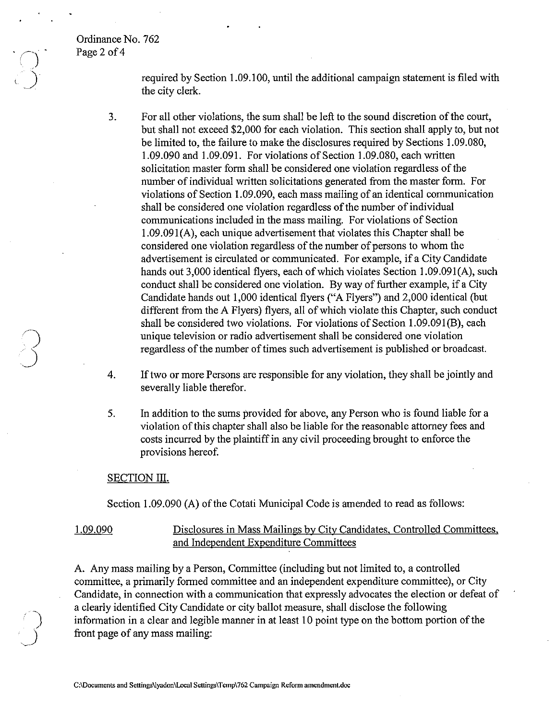## Ordinance No. 762 Page 2 of 4

 $\overline{O}$ .

 $\bigcup$ 

required by Section 1.09.100, until the additional campaign statement is filed with the city clerk.

- 3. For all other violations, the sum shall be left to the sound discretion of the court, but shall not exceed \$2,000 for each violation. This section shall apply to, but not be limited to, the failure to make the disclosures required by Sections 1.09.080, 1.09.090 and 1.09.091. For violations of Section 1.09.080, each written solicitation master form shall be considered one violation regardless of the number of individual written solicitations generated from the master form. For violations of Section 1.09.090, each mass mailing of an identical communication shall be considered one violation regardless of the number of individual communications included in the mass mailing. For violations of Section 1.09.091 (A), each unique advertisement that violates this Chapter shall be considered one violation regardless of the number of persons to whom the advertisement is circulated or communicated. For example, if a City Candidate hands out 3,000 identical flyers, each of which violates Section 1.09.091(A), such conduct shall be considered one violation. By way of further example, if a City Candidate hands out 1,000 identical flyers ("A Flyers") and 2,000 identical (but different from the A Flyers) flyers, all of which violate this Chapter, such conduct shall be considered two violations. For violations of Section 1.09.091(B), each unique television or radio advertisement shall be considered one violation regardless of the number of times such advertisement is published or broadcast.
- 4. If two or more Persons are responsible for any violation, they shall be jointly and severally liable therefor.
- 5. In addition to the sums provided for above, any Person who is found liable for a violation of this chapter shall also be liable for the reasonable attorney fees and costs incurred by the plaintiff in any civil proceeding brought to enforce the provisions hereof.

#### SECTION III.

Section 1.09.090 (A) of the Cotati Municipal Code is amended to read as follows:

# 1.09.090 Disclosures in Mass Mailings by City Candidates, Controlled Committees, and Independent Expenditure Committees

A. Any mass mailing by a Person, Committee (including but not limited to, a controlled committee, a primarily formed committee and an independent expenditure committee), or City Candidate, in connection with a communication that expressly advocates the election or defeat of a clearly identified City Candidate or city ballot measure, shall disclose the following information in a clear and legible manner in at least 10 point type on the bottom portion of the front page of any mass mailing: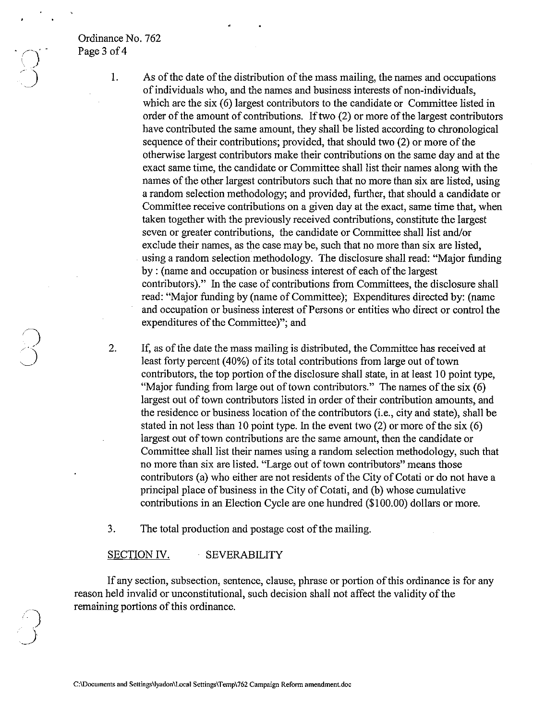## Ordinance No. 762 Page 3 of 4

2.

 $\sum$  $\geq$   $\leq$ 

*'j* 

 $\rightarrow$ 

1, As of the date of the distribution of the mass mailing, the names and occupations of individuals who, and the names and business interests of non-individuals, which are the six (6) largest contributors to the candidate or Committee listed in order of the amount of contributions. If two  $(2)$  or more of the largest contributors have contributed the same amount, they shall be listed according to chronological sequence of their contributions; provided, that should two (2) or more of the otherwise largest contributors make their contributions on the same day and at the exact same time, the candidate or Committee shall list their names along with the names of the other largest contributors such that no more than six are listed, using a random selection methodology; and provided, further, that should a candidate or Committee receive contributions on a given day at the exact, same time that, when taken together with the previously received contributions, constitute the largest seven or greater contributions, the candidate or Committee shall list and/or exclude their names, as the case may be, such that no more than six are listed, using a random selection methodology. The disclosure shall read: "Major funding" by: (name and occupation or business interest of each of the largest contributors)." In the case of contributions from Committees, the disclosure shall read: "Major funding by (name of Committee); Expenditures directed by: (name and occupation or business interest of Persons or entities who direct or control the expenditures of the Committee)"; and

If, as of the date the mass mailing is distributed, the Committee has received at least forty percent (40%) of its total contributions from large out of town contributors, the top portion of the disclosure shall state, in at least 10 point type, "Major funding from large out of town contributors." The names of the six (6) largest out of town contributors listed in order of their contribution amounts, and the residence or business location of the contributors (i.e., city and state), shall be stated in not less than 10 point type. In the event two  $(2)$  or more of the six  $(6)$ largest out of town contributions are the same amount, then the candidate or Committee shall list their names using a random selection methodology, such that no more than six are listed. "Large out of town contributors" means those contributors (a) who either are not residents of the City of Cotati or do not have a principal place of business in the City of Cotati, and (b) whose cumulative contributions in an Election Cycle are one hundred (\$100.00) dollars or more,

3, The total production and postage cost of the mailing.

#### SECTION IV. SEVERABILITY

If any section, subsection, sentence, clause, phrase or portion of this ordinance is for any reason held invalid or unconstitutional, such decision shall not affect the validity of the remaining portions of this ordinance.